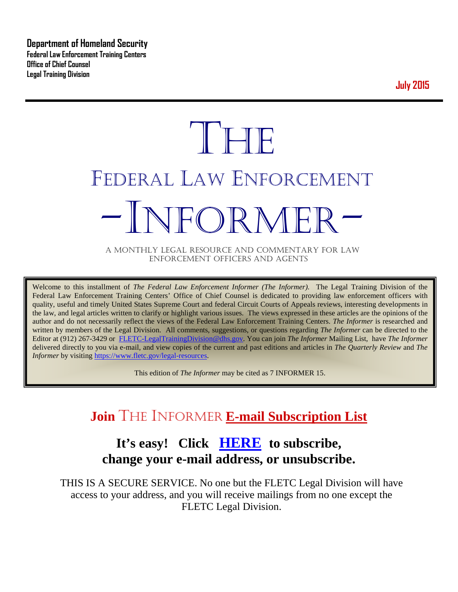**Department of Homeland Security Federal Law Enforcement Training Centers Office of Chief Counsel Legal Training Division** 

**July 2015**

# **THE** FEDERAL LAW ENFORCEMENT -INFORMER- A MONTHLY LEGAL RESOURCE AND COMMENTARY FOR LAW

ENFORCEMENT OFFICERS AND AGENTS

Welcome to this installment of *The Federal Law Enforcement Informer (The Informer).* The Legal Training Division of the Federal Law Enforcement Training Centers' Office of Chief Counsel is dedicated to providing law enforcement officers with quality, useful and timely United States Supreme Court and federal Circuit Courts of Appeals reviews, interesting developments in the law, and legal articles written to clarify or highlight various issues. The views expressed in these articles are the opinions of the author and do not necessarily reflect the views of the Federal Law Enforcement Training Centers. *The Informer* is researched and written by members of the Legal Division. All comments, suggestions, or questions regarding *The Informer* can be directed to the Editor at (912) 267-3429 or [FLETC-LegalTrainingDivision@dhs.gov.](mailto:FLETC-LegalTrainingDivision@dhs.gov) You can join *The Informer* Mailing List, have *The Informer* delivered directly to you via e-mail, and view copies of the current and past editions and articles in *The Quarterly Review* and *The Informer* by visiting [https://www.fletc.gov/legal-resources.](https://www.fletc.gov/legal-resources)

This edition of *The Informer* may be cited as 7 INFORMER 15.

# **Join** THE INFORMER **E-mail Subscription List**

# **It's easy! Click [HERE](http://peach.ease.lsoft.com/scripts/wa.exe?SUBED1=fletclgd&A=1) to subscribe, change your e-mail address, or unsubscribe.**

THIS IS A SECURE SERVICE. No one but the FLETC Legal Division will have access to your address, and you will receive mailings from no one except the FLETC Legal Division.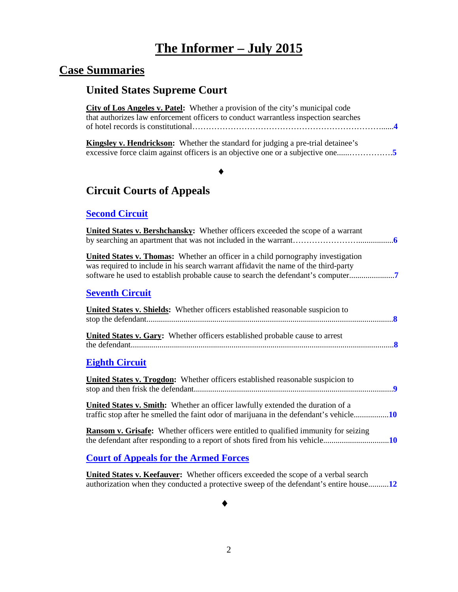# **The Informer – July 2015**

# **Case Summaries**

# **United States Supreme Court**

| <b>City of Los Angeles v. Patel:</b> Whether a provision of the city's municipal code<br>that authorizes law enforcement officers to conduct warrantless inspection searches                                                                               |
|------------------------------------------------------------------------------------------------------------------------------------------------------------------------------------------------------------------------------------------------------------|
| Kingsley v. Hendrickson: Whether the standard for judging a pre-trial detainee's                                                                                                                                                                           |
|                                                                                                                                                                                                                                                            |
| <b>Circuit Courts of Appeals</b>                                                                                                                                                                                                                           |
| <b>Second Circuit</b>                                                                                                                                                                                                                                      |
| United States v. Bershchansky: Whether officers exceeded the scope of a warrant                                                                                                                                                                            |
| United States v. Thomas: Whether an officer in a child pornography investigation<br>was required to include in his search warrant affidavit the name of the third-party<br>software he used to establish probable cause to search the defendant's computer |
| <b>Seventh Circuit</b>                                                                                                                                                                                                                                     |
| United States v. Shields: Whether officers established reasonable suspicion to                                                                                                                                                                             |
| United States v. Gary: Whether officers established probable cause to arrest                                                                                                                                                                               |
| <b>Eighth Circuit</b>                                                                                                                                                                                                                                      |
| <b>United States v. Trogdon:</b> Whether officers established reasonable suspicion to                                                                                                                                                                      |
| United States v. Smith: Whether an officer lawfully extended the duration of a<br>traffic stop after he smelled the faint odor of marijuana in the defendant's vehicle10                                                                                   |
| Ransom v. Grisafe: Whether officers were entitled to qualified immunity for seizing                                                                                                                                                                        |
|                                                                                                                                                                                                                                                            |

### **[Court of Appeals for the Armed Forces](#page-11-0)**

**United States v. Keefauver:** Whether officers exceeded the scope of a verbal search authorization when they conducted a protective sweep of the defendant's entire house..........**[12](#page-11-1)**

♦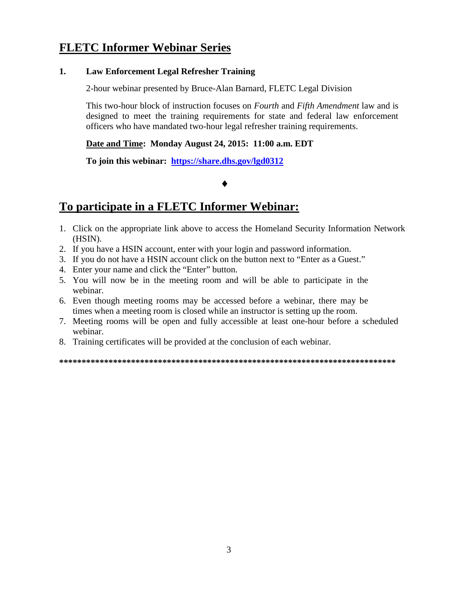### **FLETC Informer Webinar Series**

#### **1. Law Enforcement Legal Refresher Training**

2-hour webinar presented by Bruce-Alan Barnard, FLETC Legal Division

This two-hour block of instruction focuses on *Fourth* and *Fifth Amendment* law and is designed to meet the training requirements for state and federal law enforcement officers who have mandated two-hour legal refresher training requirements.

### **Date and Time: Monday August 24, 2015: 11:00 a.m. EDT**

**To join this webinar: <https://share.dhs.gov/lgd0312>**

#### ♦

### **To participate in a FLETC Informer Webinar:**

- 1. Click on the appropriate link above to access the Homeland Security Information Network (HSIN).
- 2. If you have a HSIN account, enter with your login and password information.
- 3. If you do not have a HSIN account click on the button next to "Enter as a Guest."
- 4. Enter your name and click the "Enter" button.
- 5. You will now be in the meeting room and will be able to participate in the webinar.
- 6. Even though meeting rooms may be accessed before a webinar, there may be times when a meeting room is closed while an instructor is setting up the room.
- 7. Meeting rooms will be open and fully accessible at least one-hour before a scheduled webinar.
- 8. Training certificates will be provided at the conclusion of each webinar.

**\*\*\*\*\*\*\*\*\*\*\*\*\*\*\*\*\*\*\*\*\*\*\*\*\*\*\*\*\*\*\*\*\*\*\*\*\*\*\*\*\*\*\*\*\*\*\*\*\*\*\*\*\*\*\*\*\*\*\*\*\*\*\*\*\*\*\*\*\*\*\*\*\*\*\***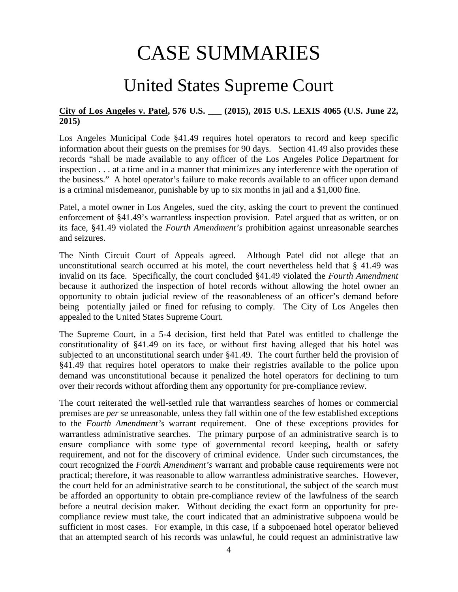# CASE SUMMARIES

# United States Supreme Court

### <span id="page-3-1"></span><span id="page-3-0"></span>**City of Los Angeles v. Patel, 576 U.S. \_\_\_ (2015), 2015 U.S. LEXIS 4065 (U.S. June 22, 2015)**

Los Angeles Municipal Code §41.49 requires hotel operators to record and keep specific information about their guests on the premises for 90 days. Section 41.49 also provides these records "shall be made available to any officer of the Los Angeles Police Department for inspection . . . at a time and in a manner that minimizes any interference with the operation of the business." A hotel operator's failure to make records available to an officer upon demand is a criminal misdemeanor, punishable by up to six months in jail and a \$1,000 fine.

Patel, a motel owner in Los Angeles, sued the city, asking the court to prevent the continued enforcement of §41.49's warrantless inspection provision. Patel argued that as written, or on its face, §41.49 violated the *Fourth Amendment's* prohibition against unreasonable searches and seizures.

The Ninth Circuit Court of Appeals agreed. Although Patel did not allege that an unconstitutional search occurred at his motel, the court nevertheless held that § 41.49 was invalid on its face. Specifically, the court concluded §41.49 violated the *Fourth Amendment* because it authorized the inspection of hotel records without allowing the hotel owner an opportunity to obtain judicial review of the reasonableness of an officer's demand before being potentially jailed or fined for refusing to comply. The City of Los Angeles then appealed to the United States Supreme Court.

The Supreme Court, in a 5-4 decision, first held that Patel was entitled to challenge the constitutionality of §41.49 on its face, or without first having alleged that his hotel was subjected to an unconstitutional search under §41.49. The court further held the provision of §41.49 that requires hotel operators to make their registries available to the police upon demand was unconstitutional because it penalized the hotel operators for declining to turn over their records without affording them any opportunity for pre-compliance review.

The court reiterated the well-settled rule that warrantless searches of homes or commercial premises are *per se* unreasonable, unless they fall within one of the few established exceptions to the *Fourth Amendment's* warrant requirement. One of these exceptions provides for warrantless administrative searches. The primary purpose of an administrative search is to ensure compliance with some type of governmental record keeping, health or safety requirement, and not for the discovery of criminal evidence. Under such circumstances, the court recognized the *Fourth Amendment's* warrant and probable cause requirements were not practical; therefore, it was reasonable to allow warrantless administrative searches. However, the court held for an administrative search to be constitutional, the subject of the search must be afforded an opportunity to obtain pre-compliance review of the lawfulness of the search before a neutral decision maker. Without deciding the exact form an opportunity for precompliance review must take, the court indicated that an administrative subpoena would be sufficient in most cases. For example, in this case, if a subpoenaed hotel operator believed that an attempted search of his records was unlawful, he could request an administrative law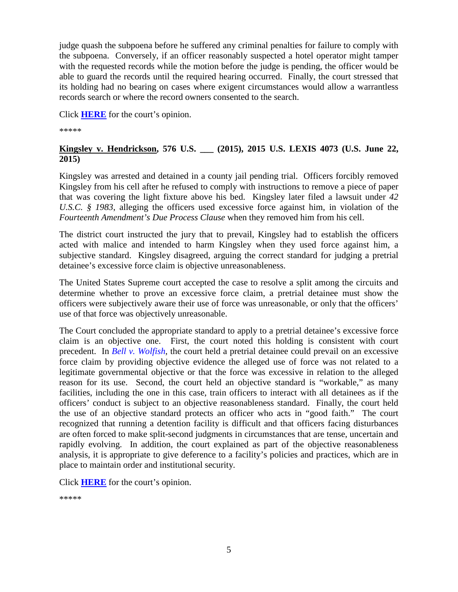judge quash the subpoena before he suffered any criminal penalties for failure to comply with the subpoena. Conversely, if an officer reasonably suspected a hotel operator might tamper with the requested records while the motion before the judge is pending, the officer would be able to guard the records until the required hearing occurred. Finally, the court stressed that its holding had no bearing on cases where exigent circumstances would allow a warrantless records search or where the record owners consented to the search.

Click **[HERE](https://supreme.justia.com/cases/federal/us/576/13-1175/case.pdf)** for the court's opinion.

\*\*\*\*\*

### <span id="page-4-0"></span>**Kingsley v. Hendrickson, 576 U.S. \_\_\_ (2015), 2015 U.S. LEXIS 4073 (U.S. June 22, 2015)**

Kingsley was arrested and detained in a county jail pending trial. Officers forcibly removed Kingsley from his cell after he refused to comply with instructions to remove a piece of paper that was covering the light fixture above his bed. Kingsley later filed a lawsuit under *42 U.S.C. § 1983*, alleging the officers used excessive force against him, in violation of the *Fourteenth Amendment's Due Process Clause* when they removed him from his cell.

The district court instructed the jury that to prevail, Kingsley had to establish the officers acted with malice and intended to harm Kingsley when they used force against him, a subjective standard. Kingsley disagreed, arguing the correct standard for judging a pretrial detainee's excessive force claim is objective unreasonableness.

The United States Supreme court accepted the case to resolve a split among the circuits and determine whether to prove an excessive force claim, a pretrial detainee must show the officers were subjectively aware their use of force was unreasonable, or only that the officers' use of that force was objectively unreasonable.

The Court concluded the appropriate standard to apply to a pretrial detainee's excessive force claim is an objective one. First, the court noted this holding is consistent with court precedent. In *[Bell v. Wolfish](https://supreme.justia.com/cases/federal/us/441/520/case.html)*, the court held a pretrial detainee could prevail on an excessive force claim by providing objective evidence the alleged use of force was not related to a legitimate governmental objective or that the force was excessive in relation to the alleged reason for its use. Second, the court held an objective standard is "workable," as many facilities, including the one in this case, train officers to interact with all detainees as if the officers' conduct is subject to an objective reasonableness standard. Finally, the court held the use of an objective standard protects an officer who acts in "good faith." The court recognized that running a detention facility is difficult and that officers facing disturbances are often forced to make split-second judgments in circumstances that are tense, uncertain and rapidly evolving. In addition, the court explained as part of the objective reasonableness analysis, it is appropriate to give deference to a facility's policies and practices, which are in place to maintain order and institutional security.

Click **[HERE](https://supreme.justia.com/cases/federal/us/576/14-6368/case.pdf)** for the court's opinion.

\*\*\*\*\*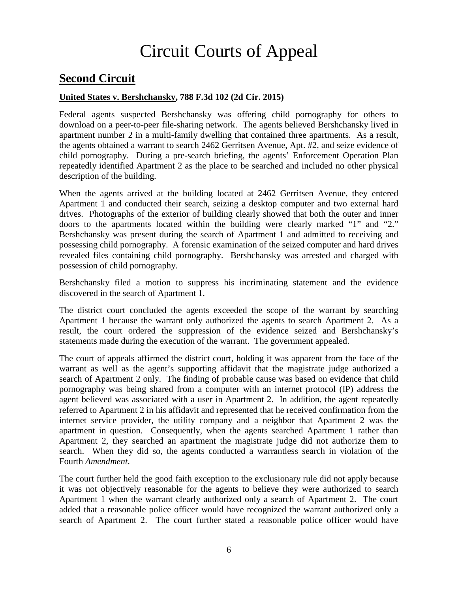# Circuit Courts of Appeal

# <span id="page-5-0"></span>**Second Circuit**

### <span id="page-5-1"></span>**United States v. Bershchansky, 788 F.3d 102 (2d Cir. 2015)**

Federal agents suspected Bershchansky was offering child pornography for others to download on a peer-to-peer file-sharing network. The agents believed Bershchansky lived in apartment number 2 in a multi-family dwelling that contained three apartments. As a result, the agents obtained a warrant to search 2462 Gerritsen Avenue, Apt. #2, and seize evidence of child pornography. During a pre-search briefing, the agents' Enforcement Operation Plan repeatedly identified Apartment 2 as the place to be searched and included no other physical description of the building.

When the agents arrived at the building located at 2462 Gerritsen Avenue, they entered Apartment 1 and conducted their search, seizing a desktop computer and two external hard drives. Photographs of the exterior of building clearly showed that both the outer and inner doors to the apartments located within the building were clearly marked "1" and "2." Bershchansky was present during the search of Apartment 1 and admitted to receiving and possessing child pornography. A forensic examination of the seized computer and hard drives revealed files containing child pornography. Bershchansky was arrested and charged with possession of child pornography.

Bershchansky filed a motion to suppress his incriminating statement and the evidence discovered in the search of Apartment 1.

The district court concluded the agents exceeded the scope of the warrant by searching Apartment 1 because the warrant only authorized the agents to search Apartment 2. As a result, the court ordered the suppression of the evidence seized and Bershchansky's statements made during the execution of the warrant. The government appealed.

The court of appeals affirmed the district court, holding it was apparent from the face of the warrant as well as the agent's supporting affidavit that the magistrate judge authorized a search of Apartment 2 only. The finding of probable cause was based on evidence that child pornography was being shared from a computer with an internet protocol (IP) address the agent believed was associated with a user in Apartment 2. In addition, the agent repeatedly referred to Apartment 2 in his affidavit and represented that he received confirmation from the internet service provider, the utility company and a neighbor that Apartment 2 was the apartment in question. Consequently, when the agents searched Apartment 1 rather than Apartment 2, they searched an apartment the magistrate judge did not authorize them to search. When they did so, the agents conducted a warrantless search in violation of the Fourth *Amendment*.

The court further held the good faith exception to the exclusionary rule did not apply because it was not objectively reasonable for the agents to believe they were authorized to search Apartment 1 when the warrant clearly authorized only a search of Apartment 2. The court added that a reasonable police officer would have recognized the warrant authorized only a search of Apartment 2. The court further stated a reasonable police officer would have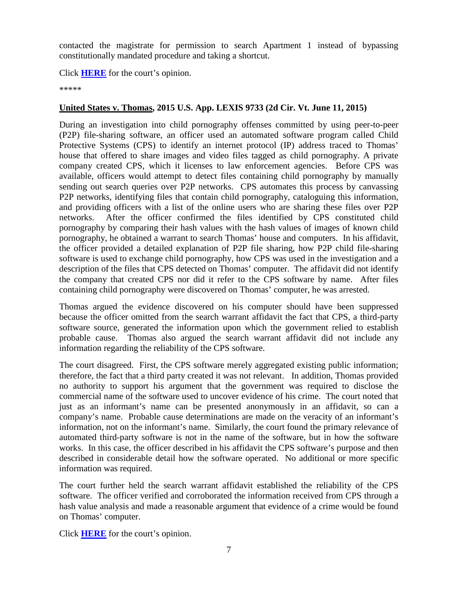contacted the magistrate for permission to search Apartment 1 instead of bypassing constitutionally mandated procedure and taking a shortcut.

Click **[HERE](http://cases.justia.com/federal/appellate-courts/ca2/13-3145/13-3145-2015-06-05.pdf?ts=1433514604)** for the court's opinion.

\*\*\*\*\*

### <span id="page-6-0"></span>**United States v. Thomas, 2015 U.S. App. LEXIS 9733 (2d Cir. Vt. June 11, 2015)**

During an investigation into child pornography offenses committed by using peer-to-peer (P2P) file-sharing software, an officer used an automated software program called Child Protective Systems (CPS) to identify an internet protocol (IP) address traced to Thomas' house that offered to share images and video files tagged as child pornography. A private company created CPS, which it licenses to law enforcement agencies. Before CPS was available, officers would attempt to detect files containing child pornography by manually sending out search queries over P2P networks. CPS automates this process by canvassing P2P networks, identifying files that contain child pornography, cataloguing this information, and providing officers with a list of the online users who are sharing these files over P2P networks. After the officer confirmed the files identified by CPS constituted child pornography by comparing their hash values with the hash values of images of known child pornography, he obtained a warrant to search Thomas' house and computers. In his affidavit, the officer provided a detailed explanation of P2P file sharing, how P2P child file-sharing software is used to exchange child pornography, how CPS was used in the investigation and a description of the files that CPS detected on Thomas' computer. The affidavit did not identify the company that created CPS nor did it refer to the CPS software by name. After files containing child pornography were discovered on Thomas' computer, he was arrested.

Thomas argued the evidence discovered on his computer should have been suppressed because the officer omitted from the search warrant affidavit the fact that CPS, a third-party software source, generated the information upon which the government relied to establish probable cause. Thomas also argued the search warrant affidavit did not include any information regarding the reliability of the CPS software.

The court disagreed. First, the CPS software merely aggregated existing public information; therefore, the fact that a third party created it was not relevant. In addition, Thomas provided no authority to support his argument that the government was required to disclose the commercial name of the software used to uncover evidence of his crime. The court noted that just as an informant's name can be presented anonymously in an affidavit, so can a company's name. Probable cause determinations are made on the veracity of an informant's information, not on the informant's name. Similarly, the court found the primary relevance of automated third-party software is not in the name of the software, but in how the software works. In this case, the officer described in his affidavit the CPS software's purpose and then described in considerable detail how the software operated. No additional or more specific information was required.

The court further held the search warrant affidavit established the reliability of the CPS software. The officer verified and corroborated the information received from CPS through a hash value analysis and made a reasonable argument that evidence of a crime would be found on Thomas' computer.

Click **[HERE](http://cases.justia.com/federal/appellate-courts/ca2/14-1083/14-1083-2015-06-11.pdf?ts=1434033003)** for the court's opinion.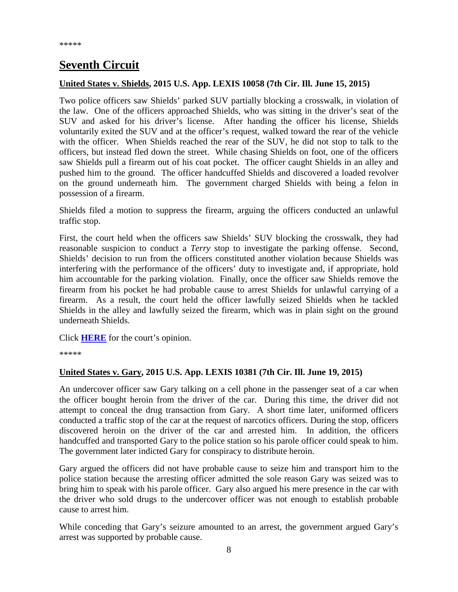# <span id="page-7-0"></span>**Seventh Circuit**

#### <span id="page-7-1"></span>**United States v. Shields, 2015 U.S. App. LEXIS 10058 (7th Cir. Ill. June 15, 2015)**

Two police officers saw Shields' parked SUV partially blocking a crosswalk, in violation of the law. One of the officers approached Shields, who was sitting in the driver's seat of the SUV and asked for his driver's license. After handing the officer his license, Shields voluntarily exited the SUV and at the officer's request, walked toward the rear of the vehicle with the officer. When Shields reached the rear of the SUV, he did not stop to talk to the officers, but instead fled down the street. While chasing Shields on foot, one of the officers saw Shields pull a firearm out of his coat pocket. The officer caught Shields in an alley and pushed him to the ground. The officer handcuffed Shields and discovered a loaded revolver on the ground underneath him. The government charged Shields with being a felon in possession of a firearm.

Shields filed a motion to suppress the firearm, arguing the officers conducted an unlawful traffic stop.

First, the court held when the officers saw Shields' SUV blocking the crosswalk, they had reasonable suspicion to conduct a *Terry* stop to investigate the parking offense. Second, Shields' decision to run from the officers constituted another violation because Shields was interfering with the performance of the officers' duty to investigate and, if appropriate, hold him accountable for the parking violation. Finally, once the officer saw Shields remove the firearm from his pocket he had probable cause to arrest Shields for unlawful carrying of a firearm. As a result, the court held the officer lawfully seized Shields when he tackled Shields in the alley and lawfully seized the firearm, which was in plain sight on the ground underneath Shields.

Click **[HERE](http://cases.justia.com/federal/appellate-courts/ca7/13-3726/13-3726-2015-06-15.pdf?ts=1434405656)** for the court's opinion.

\*\*\*\*\*

### <span id="page-7-2"></span>**United States v. Gary, 2015 U.S. App. LEXIS 10381 (7th Cir. Ill. June 19, 2015)**

An undercover officer saw Gary talking on a cell phone in the passenger seat of a car when the officer bought heroin from the driver of the car. During this time, the driver did not attempt to conceal the drug transaction from Gary. A short time later, uniformed officers conducted a traffic stop of the car at the request of narcotics officers. During the stop, officers discovered heroin on the driver of the car and arrested him. In addition, the officers handcuffed and transported Gary to the police station so his parole officer could speak to him. The government later indicted Gary for conspiracy to distribute heroin.

Gary argued the officers did not have probable cause to seize him and transport him to the police station because the arresting officer admitted the sole reason Gary was seized was to bring him to speak with his parole officer. Gary also argued his mere presence in the car with the driver who sold drugs to the undercover officer was not enough to establish probable cause to arrest him.

While conceding that Gary's seizure amounted to an arrest, the government argued Gary's arrest was supported by probable cause.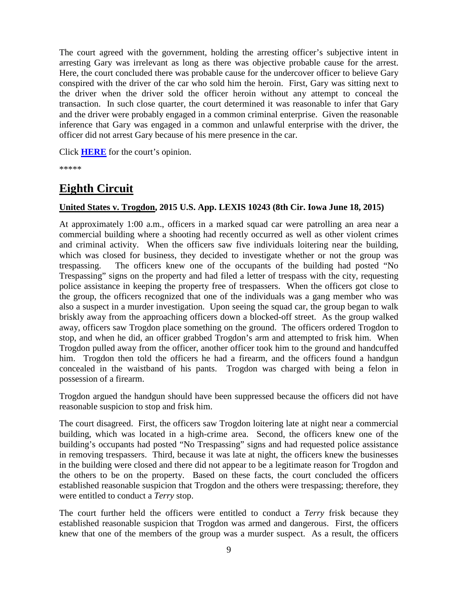The court agreed with the government, holding the arresting officer's subjective intent in arresting Gary was irrelevant as long as there was objective probable cause for the arrest. Here, the court concluded there was probable cause for the undercover officer to believe Gary conspired with the driver of the car who sold him the heroin. First, Gary was sitting next to the driver when the driver sold the officer heroin without any attempt to conceal the transaction. In such close quarter, the court determined it was reasonable to infer that Gary and the driver were probably engaged in a common criminal enterprise. Given the reasonable inference that Gary was engaged in a common and unlawful enterprise with the driver, the officer did not arrest Gary because of his mere presence in the car.

Click **[HERE](http://cases.justia.com/federal/appellate-courts/ca7/13-1788/13-1788-2015-06-19.pdf?ts=1434753051)** for the court's opinion.

\*\*\*\*\*

# <span id="page-8-0"></span>**Eighth Circuit**

### <span id="page-8-1"></span>**United States v. Trogdon, 2015 U.S. App. LEXIS 10243 (8th Cir. Iowa June 18, 2015)**

At approximately 1:00 a.m., officers in a marked squad car were patrolling an area near a commercial building where a shooting had recently occurred as well as other violent crimes and criminal activity. When the officers saw five individuals loitering near the building, which was closed for business, they decided to investigate whether or not the group was trespassing. The officers knew one of the occupants of the building had posted "No Trespassing" signs on the property and had filed a letter of trespass with the city, requesting police assistance in keeping the property free of trespassers. When the officers got close to the group, the officers recognized that one of the individuals was a gang member who was also a suspect in a murder investigation. Upon seeing the squad car, the group began to walk briskly away from the approaching officers down a blocked-off street. As the group walked away, officers saw Trogdon place something on the ground. The officers ordered Trogdon to stop, and when he did, an officer grabbed Trogdon's arm and attempted to frisk him. When Trogdon pulled away from the officer, another officer took him to the ground and handcuffed him. Trogdon then told the officers he had a firearm, and the officers found a handgun concealed in the waistband of his pants. Trogdon was charged with being a felon in possession of a firearm.

Trogdon argued the handgun should have been suppressed because the officers did not have reasonable suspicion to stop and frisk him.

The court disagreed. First, the officers saw Trogdon loitering late at night near a commercial building, which was located in a high-crime area. Second, the officers knew one of the building's occupants had posted "No Trespassing" signs and had requested police assistance in removing trespassers. Third, because it was late at night, the officers knew the businesses in the building were closed and there did not appear to be a legitimate reason for Trogdon and the others to be on the property. Based on these facts, the court concluded the officers established reasonable suspicion that Trogdon and the others were trespassing; therefore, they were entitled to conduct a *Terry* stop.

The court further held the officers were entitled to conduct a *Terry* frisk because they established reasonable suspicion that Trogdon was armed and dangerous. First, the officers knew that one of the members of the group was a murder suspect. As a result, the officers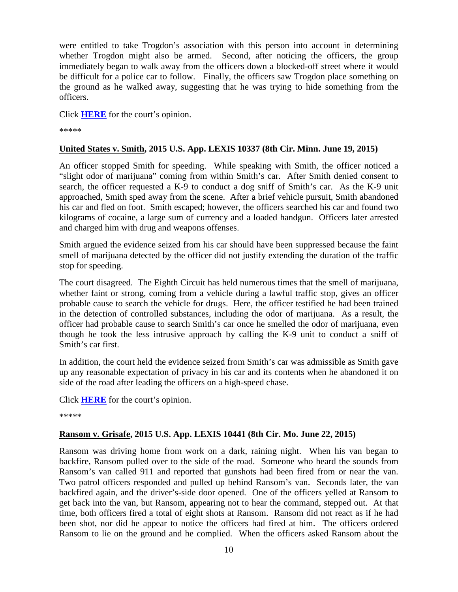were entitled to take Trogdon's association with this person into account in determining whether Trogdon might also be armed. Second, after noticing the officers, the group immediately began to walk away from the officers down a blocked-off street where it would be difficult for a police car to follow. Finally, the officers saw Trogdon place something on the ground as he walked away, suggesting that he was trying to hide something from the officers.

Click **[HERE](http://cases.justia.com/federal/appellate-courts/ca8/14-2875/14-2875-2015-06-18.pdf?ts=1434639693)** for the court's opinion.

\*\*\*\*\*

### <span id="page-9-0"></span>**United States v. Smith, 2015 U.S. App. LEXIS 10337 (8th Cir. Minn. June 19, 2015)**

An officer stopped Smith for speeding. While speaking with Smith, the officer noticed a "slight odor of marijuana" coming from within Smith's car. After Smith denied consent to search, the officer requested a K-9 to conduct a dog sniff of Smith's car. As the K-9 unit approached, Smith sped away from the scene. After a brief vehicle pursuit, Smith abandoned his car and fled on foot. Smith escaped; however, the officers searched his car and found two kilograms of cocaine, a large sum of currency and a loaded handgun. Officers later arrested and charged him with drug and weapons offenses.

Smith argued the evidence seized from his car should have been suppressed because the faint smell of marijuana detected by the officer did not justify extending the duration of the traffic stop for speeding.

The court disagreed. The Eighth Circuit has held numerous times that the smell of marijuana, whether faint or strong, coming from a vehicle during a lawful traffic stop, gives an officer probable cause to search the vehicle for drugs. Here, the officer testified he had been trained in the detection of controlled substances, including the odor of marijuana. As a result, the officer had probable cause to search Smith's car once he smelled the odor of marijuana, even though he took the less intrusive approach by calling the K-9 unit to conduct a sniff of Smith's car first.

In addition, the court held the evidence seized from Smith's car was admissible as Smith gave up any reasonable expectation of privacy in his car and its contents when he abandoned it on side of the road after leading the officers on a high-speed chase.

Click **[HERE](http://cases.justia.com/federal/appellate-courts/ca8/14-2846/14-2846-2015-06-19.pdf?ts=1434727867)** for the court's opinion.

\*\*\*\*\*

### <span id="page-9-1"></span>**Ransom v. Grisafe, 2015 U.S. App. LEXIS 10441 (8th Cir. Mo. June 22, 2015)**

Ransom was driving home from work on a dark, raining night. When his van began to backfire, Ransom pulled over to the side of the road. Someone who heard the sounds from Ransom's van called 911 and reported that gunshots had been fired from or near the van. Two patrol officers responded and pulled up behind Ransom's van. Seconds later, the van backfired again, and the driver's-side door opened. One of the officers yelled at Ransom to get back into the van, but Ransom, appearing not to hear the command, stepped out. At that time, both officers fired a total of eight shots at Ransom. Ransom did not react as if he had been shot, nor did he appear to notice the officers had fired at him. The officers ordered Ransom to lie on the ground and he complied. When the officers asked Ransom about the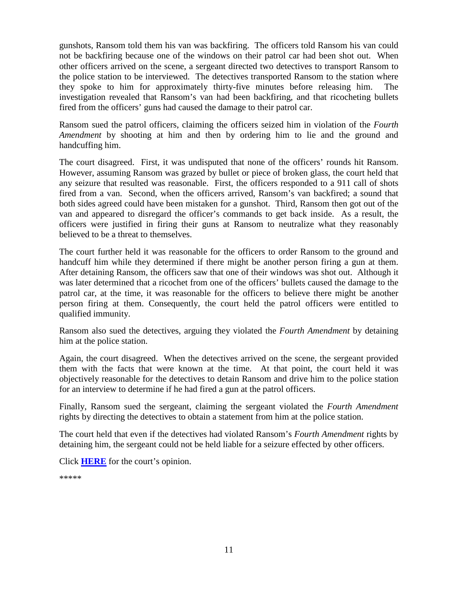gunshots, Ransom told them his van was backfiring. The officers told Ransom his van could not be backfiring because one of the windows on their patrol car had been shot out. When other officers arrived on the scene, a sergeant directed two detectives to transport Ransom to the police station to be interviewed. The detectives transported Ransom to the station where they spoke to him for approximately thirty-five minutes before releasing him. The investigation revealed that Ransom's van had been backfiring, and that ricocheting bullets fired from the officers' guns had caused the damage to their patrol car.

Ransom sued the patrol officers, claiming the officers seized him in violation of the *Fourth Amendment* by shooting at him and then by ordering him to lie and the ground and handcuffing him.

The court disagreed. First, it was undisputed that none of the officers' rounds hit Ransom. However, assuming Ransom was grazed by bullet or piece of broken glass, the court held that any seizure that resulted was reasonable. First, the officers responded to a 911 call of shots fired from a van. Second, when the officers arrived, Ransom's van backfired; a sound that both sides agreed could have been mistaken for a gunshot. Third, Ransom then got out of the van and appeared to disregard the officer's commands to get back inside. As a result, the officers were justified in firing their guns at Ransom to neutralize what they reasonably believed to be a threat to themselves.

The court further held it was reasonable for the officers to order Ransom to the ground and handcuff him while they determined if there might be another person firing a gun at them. After detaining Ransom, the officers saw that one of their windows was shot out. Although it was later determined that a ricochet from one of the officers' bullets caused the damage to the patrol car, at the time, it was reasonable for the officers to believe there might be another person firing at them. Consequently, the court held the patrol officers were entitled to qualified immunity.

Ransom also sued the detectives, arguing they violated the *Fourth Amendment* by detaining him at the police station.

Again, the court disagreed. When the detectives arrived on the scene, the sergeant provided them with the facts that were known at the time. At that point, the court held it was objectively reasonable for the detectives to detain Ransom and drive him to the police station for an interview to determine if he had fired a gun at the patrol officers.

Finally, Ransom sued the sergeant, claiming the sergeant violated the *Fourth Amendment* rights by directing the detectives to obtain a statement from him at the police station.

The court held that even if the detectives had violated Ransom's *Fourth Amendment* rights by detaining him, the sergeant could not be held liable for a seizure effected by other officers.

Click **[HERE](http://cases.justia.com/federal/appellate-courts/ca8/14-2204/14-2204-2015-06-22.pdf?ts=1434987050)** for the court's opinion.

\*\*\*\*\*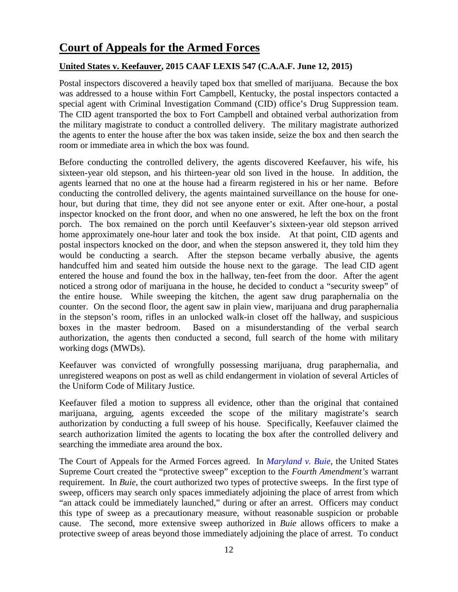## <span id="page-11-0"></span>**Court of Appeals for the Armed Forces**

### <span id="page-11-1"></span>**United States v. Keefauver, 2015 CAAF LEXIS 547 (C.A.A.F. June 12, 2015)**

Postal inspectors discovered a heavily taped box that smelled of marijuana. Because the box was addressed to a house within Fort Campbell, Kentucky, the postal inspectors contacted a special agent with Criminal Investigation Command (CID) office's Drug Suppression team. The CID agent transported the box to Fort Campbell and obtained verbal authorization from the military magistrate to conduct a controlled delivery. The military magistrate authorized the agents to enter the house after the box was taken inside, seize the box and then search the room or immediate area in which the box was found.

Before conducting the controlled delivery, the agents discovered Keefauver, his wife, his sixteen-year old stepson, and his thirteen-year old son lived in the house. In addition, the agents learned that no one at the house had a firearm registered in his or her name. Before conducting the controlled delivery, the agents maintained surveillance on the house for onehour, but during that time, they did not see anyone enter or exit. After one-hour, a postal inspector knocked on the front door, and when no one answered, he left the box on the front porch. The box remained on the porch until Keefauver's sixteen-year old stepson arrived home approximately one-hour later and took the box inside. At that point, CID agents and postal inspectors knocked on the door, and when the stepson answered it, they told him they would be conducting a search. After the stepson became verbally abusive, the agents handcuffed him and seated him outside the house next to the garage. The lead CID agent entered the house and found the box in the hallway, ten-feet from the door. After the agent noticed a strong odor of marijuana in the house, he decided to conduct a "security sweep" of the entire house. While sweeping the kitchen, the agent saw drug paraphernalia on the counter. On the second floor, the agent saw in plain view, marijuana and drug paraphernalia in the stepson's room, rifles in an unlocked walk-in closet off the hallway, and suspicious boxes in the master bedroom. Based on a misunderstanding of the verbal search authorization, the agents then conducted a second, full search of the home with military working dogs (MWDs).

Keefauver was convicted of wrongfully possessing marijuana, drug paraphernalia, and unregistered weapons on post as well as child endangerment in violation of several Articles of the Uniform Code of Military Justice.

Keefauver filed a motion to suppress all evidence, other than the original that contained marijuana, arguing, agents exceeded the scope of the military magistrate's search authorization by conducting a full sweep of his house. Specifically, Keefauver claimed the search authorization limited the agents to locating the box after the controlled delivery and searching the immediate area around the box.

The Court of Appeals for the Armed Forces agreed. In *[Maryland v.](https://supreme.justia.com/cases/federal/us/494/325/case.html) Buie*, the United States Supreme Court created the "protective sweep" exception to the *Fourth Amendment's* warrant requirement. In *Buie*, the court authorized two types of protective sweeps. In the first type of sweep, officers may search only spaces immediately adjoining the place of arrest from which "an attack could be immediately launched," during or after an arrest. Officers may conduct this type of sweep as a precautionary measure, without reasonable suspicion or probable cause. The second, more extensive sweep authorized in *Buie* allows officers to make a protective sweep of areas beyond those immediately adjoining the place of arrest. To conduct